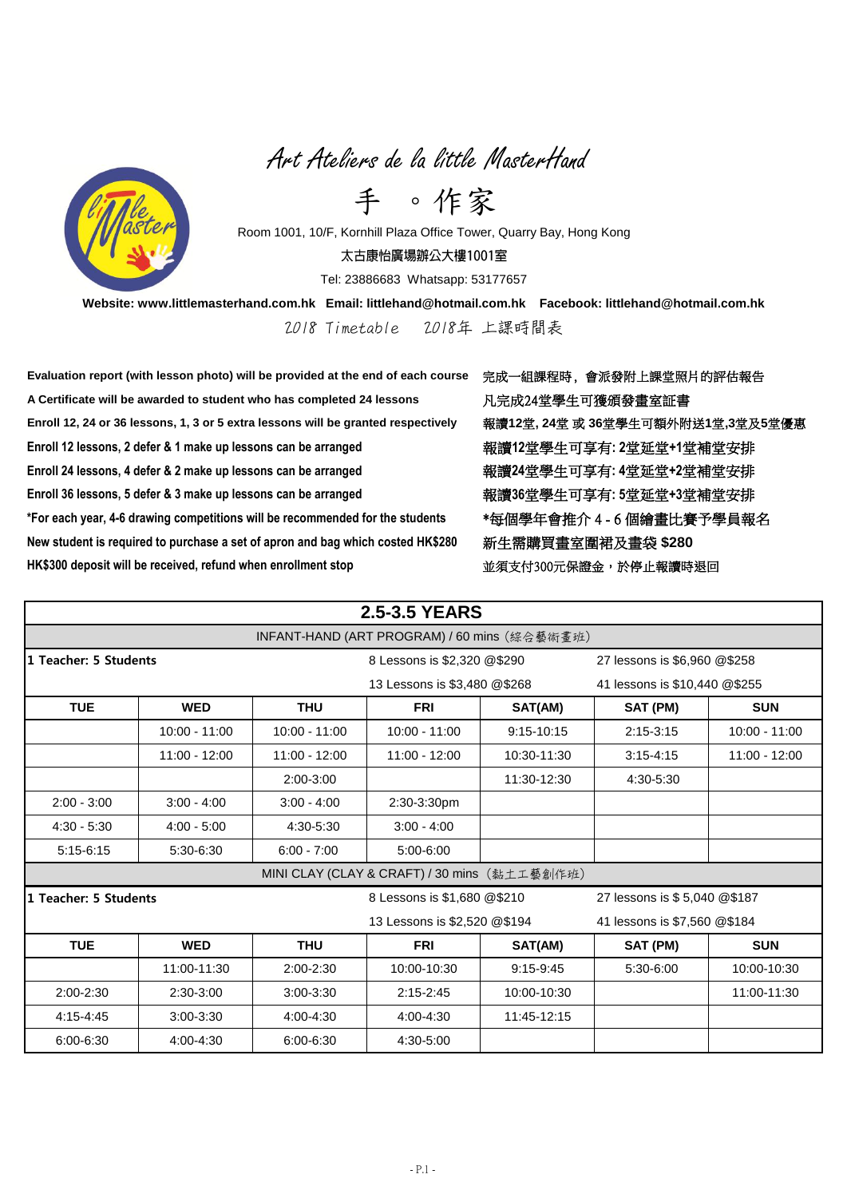Art Ateliers de la little MasterHand



手 。作家 Room 1001, 10/F, Kornhill Plaza Office Tower, Quarry Bay, Hong Kong 太古康怡廣場辦公大樓1001室

Tel: 23886683 Whatsapp: 53177657

**Website: www.littlemasterhand.com.hk Email: littlehand@hotmail.com.hk Facebook: littlehand@hotmail.com.hk**

2018 Timetable 2018年 上課時間表

**Evaluation report (with lesson photo) will be provided at the end of each course** 完成一組課程時, 會派發附上課堂照片的評估報告 **A Certificate will be awarded to student who has completed 24 lessons** 凡完成24堂學生可獲頒發畫室証書 **Enroll 12, 24 or 36 lessons, 1, 3 or 5 extra lessons will be granted respectively** 報讀**12**堂**, 24**堂 或 **36**堂學生可額外附送**1**堂**,3**堂及**5**堂優惠 **Enroll 12 lessons, 2 defer & 1 make up lessons can be arranged** 報讀**12**堂學生可享有**: 2**堂延堂**+1**堂補堂安排 **Enroll 24 lessons, 4 defer & 2 make up lessons can be arranged** 報讀**24**堂學生可享有**: 4**堂延堂**+2**堂補堂安排 **Enroll 36 lessons, 5 defer & 3 make up lessons can be arranged** 報讀**36**堂學生可享有**: 5**堂延堂**+3**堂補堂安排 \*For each year, 4-6 drawing competitions will be recommended for the students \*每個學年會推介 4 - 6 個繪畫比<del>賽予</del>學員報名 **New student is required to purchase a set of apron and bag which costed HK\$280** 新生需購買畫室圍裙及畫袋 **\$280 HK\$300 deposit will be received, refund when enrollment stop** 並須支付300元保證金,於停止報讀時退回

|                       |                 |                 | <b>2.5-3.5 YEARS</b>                         |             |                               |                 |
|-----------------------|-----------------|-----------------|----------------------------------------------|-------------|-------------------------------|-----------------|
|                       |                 |                 | INFANT-HAND (ART PROGRAM) / 60 mins (綜合藝術畫班) |             |                               |                 |
| 1 Teacher: 5 Students |                 |                 | 8 Lessons is \$2,320 @\$290                  |             | 27 lessons is \$6,960 @\$258  |                 |
|                       |                 |                 | 13 Lessons is \$3,480 @\$268                 |             | 41 lessons is \$10,440 @\$255 |                 |
| <b>TUE</b>            | <b>WED</b>      | <b>THU</b>      | <b>FRI</b>                                   | SAT(AM)     | SAT (PM)                      | <b>SUN</b>      |
|                       | $10:00 - 11:00$ | $10:00 - 11:00$ | $10:00 - 11:00$                              | 9:15-10:15  | $2:15-3:15$                   | $10:00 - 11:00$ |
|                       | $11:00 - 12:00$ | $11:00 - 12:00$ | $11:00 - 12:00$                              | 10:30-11:30 | $3:15 - 4:15$                 | $11:00 - 12:00$ |
|                       |                 | $2:00-3:00$     |                                              | 11:30-12:30 | 4:30-5:30                     |                 |
| $2:00 - 3:00$         | $3:00 - 4:00$   | $3:00 - 4:00$   | 2:30-3:30pm                                  |             |                               |                 |
| $4:30 - 5:30$         | $4:00 - 5:00$   | 4:30-5:30       | $3:00 - 4:00$                                |             |                               |                 |
| $5:15-6:15$           | 5:30-6:30       | $6:00 - 7:00$   | 5:00-6:00                                    |             |                               |                 |
|                       |                 |                 | MINI CLAY (CLAY & CRAFT) / 30 mins (黏土工藝創作班) |             |                               |                 |
| 1 Teacher: 5 Students |                 |                 | 8 Lessons is \$1,680 @\$210                  |             | 27 lessons is \$5,040 @\$187  |                 |
|                       |                 |                 | 13 Lessons is \$2,520 @\$194                 |             | 41 lessons is \$7,560 @\$184  |                 |
| <b>TUE</b>            | <b>WED</b>      | <b>THU</b>      | <b>FRI</b>                                   | SAT(AM)     | SAT (PM)                      | <b>SUN</b>      |
|                       | 11:00-11:30     | 2:00-2:30       | 10:00-10:30                                  | $9:15-9:45$ | 5:30-6:00                     | 10:00-10:30     |
| 2:00-2:30             | 2:30-3:00       | $3:00 - 3:30$   | $2:15 - 2:45$                                | 10:00-10:30 |                               | 11:00-11:30     |
| 4:15-4:45             | $3:00 - 3:30$   | 4:00-4:30       | 4:00-4:30                                    | 11:45-12:15 |                               |                 |
| 6:00-6:30             | 4:00-4:30       | 6:00-6:30       | 4:30-5:00                                    |             |                               |                 |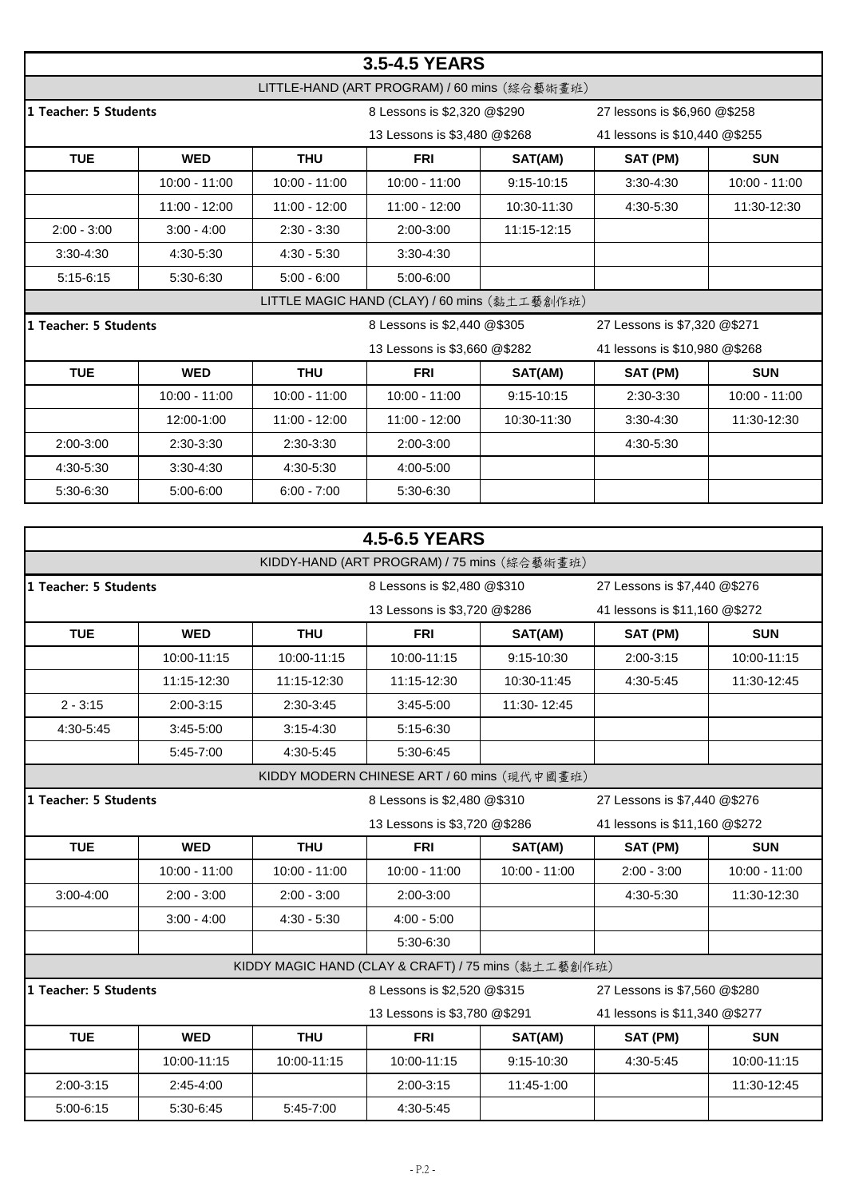|                        |                 |                 | 3.5-4.5 YEARS                                |             |                               |                 |
|------------------------|-----------------|-----------------|----------------------------------------------|-------------|-------------------------------|-----------------|
|                        |                 |                 |                                              |             |                               |                 |
|                        |                 |                 | LITTLE-HAND (ART PROGRAM) / 60 mins (綜合藝術畫班) |             |                               |                 |
| 11 Teacher: 5 Students |                 |                 | 8 Lessons is \$2,320 @\$290                  |             | 27 lessons is \$6,960 @\$258  |                 |
|                        |                 |                 | 13 Lessons is \$3,480 @\$268                 |             | 41 lessons is \$10,440 @\$255 |                 |
| <b>TUE</b>             | <b>WED</b>      | <b>THU</b>      | <b>FRI</b>                                   | SAT(AM)     | SAT (PM)                      | <b>SUN</b>      |
|                        | $10:00 - 11:00$ | $10:00 - 11:00$ | $10:00 - 11:00$                              | 9:15-10:15  | $3:30-4:30$                   | $10:00 - 11:00$ |
|                        | $11:00 - 12:00$ | 11:00 - 12:00   | $11:00 - 12:00$                              | 10:30-11:30 | 4:30-5:30                     | 11:30-12:30     |
| $2:00 - 3:00$          | $3:00 - 4:00$   | $2:30 - 3:30$   | $2:00-3:00$                                  | 11:15-12:15 |                               |                 |
| $3:30-4:30$            | 4:30-5:30       | $4:30 - 5:30$   | $3:30-4:30$                                  |             |                               |                 |
| $5:15-6:15$            | 5:30-6:30       | $5:00 - 6:00$   | $5:00-6:00$                                  |             |                               |                 |
|                        |                 |                 | LITTLE MAGIC HAND (CLAY) / 60 mins (黏土工藝創作班) |             |                               |                 |
| 1 Teacher: 5 Students  |                 |                 | 8 Lessons is \$2,440 @\$305                  |             | 27 Lessons is \$7,320 @\$271  |                 |
|                        |                 |                 | 13 Lessons is \$3,660 @\$282                 |             | 41 lessons is \$10,980 @\$268 |                 |
| <b>TUE</b>             | <b>WED</b>      | <b>THU</b>      | <b>FRI</b>                                   | SAT(AM)     | SAT (PM)                      | <b>SUN</b>      |
|                        | $10:00 - 11:00$ | $10:00 - 11:00$ | $10:00 - 11:00$                              | 9:15-10:15  | 2:30-3:30                     | $10:00 - 11:00$ |
|                        | 12:00-1:00      | $11:00 - 12:00$ | $11:00 - 12:00$                              | 10:30-11:30 | $3:30-4:30$                   | 11:30-12:30     |
| 2:00-3:00              | 2:30-3:30       | 2:30-3:30       | $2:00-3:00$                                  |             | 4:30-5:30                     |                 |
| 4:30-5:30              | $3:30-4:30$     | 4:30-5:30       | 4:00-5:00                                    |             |                               |                 |
| 5:30-6:30              | 5:00-6:00       | $6:00 - 7:00$   | 5:30-6:30                                    |             |                               |                 |

|                       |                 |                              | <b>4.5-6.5 YEARS</b>                                |                               |                               |                 |
|-----------------------|-----------------|------------------------------|-----------------------------------------------------|-------------------------------|-------------------------------|-----------------|
|                       |                 |                              | KIDDY-HAND (ART PROGRAM) / 75 mins (綜合藝術畫班)         |                               |                               |                 |
| 1 Teacher: 5 Students |                 |                              | 8 Lessons is \$2,480 @\$310                         |                               | 27 Lessons is \$7,440 @\$276  |                 |
|                       |                 |                              | 13 Lessons is \$3,720 @\$286                        |                               | 41 lessons is \$11,160 @\$272 |                 |
| <b>TUE</b>            | <b>WED</b>      | <b>THU</b>                   | <b>FRI</b>                                          | SAT(AM)                       | SAT (PM)                      | <b>SUN</b>      |
|                       | 10:00-11:15     | 10:00-11:15                  | 10:00-11:15                                         | 9:15-10:30                    | 2:00-3:15                     | 10:00-11:15     |
|                       | 11:15-12:30     | 11:15-12:30                  | 11:15-12:30                                         | 10:30-11:45                   | 4:30-5:45                     | 11:30-12:45     |
| $2 - 3:15$            | 2:00-3:15       | 2:30-3:45                    | $3:45 - 5:00$                                       | 11:30-12:45                   |                               |                 |
| 4:30-5:45             | $3:45 - 5:00$   | $3:15 - 4:30$                | 5:15-6:30                                           |                               |                               |                 |
|                       | 5:45-7:00       | 4:30-5:45                    | 5:30-6:45                                           |                               |                               |                 |
|                       |                 |                              | KIDDY MODERN CHINESE ART / 60 mins (現代中國畫班)         |                               |                               |                 |
| 1 Teacher: 5 Students |                 |                              | 8 Lessons is \$2,480 @\$310                         |                               | 27 Lessons is \$7,440 @\$276  |                 |
|                       |                 |                              | 13 Lessons is \$3,720 @\$286                        |                               | 41 lessons is \$11,160 @\$272 |                 |
| <b>TUE</b>            | <b>WED</b>      | <b>THU</b>                   | <b>FRI</b>                                          | SAT(AM)                       | SAT (PM)                      | <b>SUN</b>      |
|                       | $10:00 - 11:00$ | $10:00 - 11:00$              | $10:00 - 11:00$                                     | $10:00 - 11:00$               | $2:00 - 3:00$                 | $10:00 - 11:00$ |
| 3:00-4:00             | $2:00 - 3:00$   | $2:00 - 3:00$                | 2:00-3:00                                           |                               | 4:30-5:30                     | 11:30-12:30     |
|                       | $3:00 - 4:00$   | $4:30 - 5:30$                | $4:00 - 5:00$                                       |                               |                               |                 |
|                       |                 |                              | 5:30-6:30                                           |                               |                               |                 |
|                       |                 |                              | KIDDY MAGIC HAND (CLAY & CRAFT) / 75 mins (黏土工藝創作班) |                               |                               |                 |
| 1 Teacher: 5 Students |                 |                              | 8 Lessons is \$2,520 @\$315                         |                               | 27 Lessons is \$7,560 @\$280  |                 |
|                       |                 | 13 Lessons is \$3,780 @\$291 |                                                     | 41 lessons is \$11,340 @\$277 |                               |                 |
| <b>TUE</b>            | <b>WED</b>      | <b>THU</b>                   | <b>FRI</b>                                          | SAT(AM)                       | SAT (PM)                      | <b>SUN</b>      |
|                       | 10:00-11:15     | 10:00-11:15                  | 10:00-11:15                                         | 9:15-10:30                    | 4:30-5:45                     | 10:00-11:15     |
| 2:00-3:15             | 2:45-4:00       |                              | $2:00-3:15$                                         | 11:45-1:00                    |                               | 11:30-12:45     |
| 5:00-6:15             | 5:30-6:45       | 5:45-7:00                    | 4:30-5:45                                           |                               |                               |                 |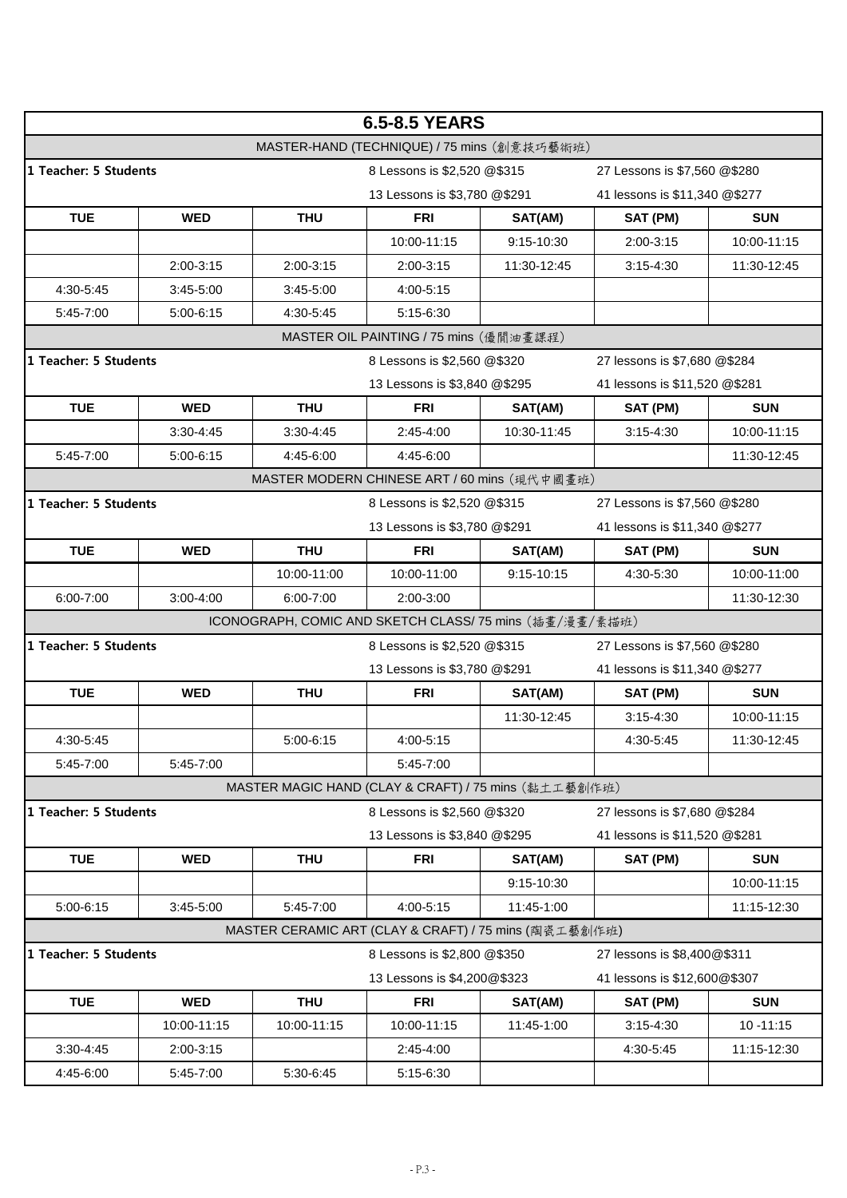|                                                                                     |               |                                                        | <b>6.5-8.5 YEARS</b>                        |             |                               |              |
|-------------------------------------------------------------------------------------|---------------|--------------------------------------------------------|---------------------------------------------|-------------|-------------------------------|--------------|
|                                                                                     |               |                                                        | MASTER-HAND (TECHNIQUE) / 75 mins (創意技巧藝術班) |             |                               |              |
| 1 Teacher: 5 Students                                                               |               |                                                        | 8 Lessons is \$2,520 @\$315                 |             | 27 Lessons is \$7,560 @\$280  |              |
|                                                                                     |               |                                                        | 13 Lessons is \$3,780 @\$291                |             | 41 lessons is \$11,340 @\$277 |              |
| <b>TUE</b>                                                                          | <b>WED</b>    | <b>THU</b>                                             | <b>FRI</b>                                  | SAT(AM)     | SAT (PM)                      | <b>SUN</b>   |
|                                                                                     |               |                                                        | 10:00-11:15                                 | 9:15-10:30  | 2:00-3:15                     | 10:00-11:15  |
|                                                                                     | 2:00-3:15     | 2:00-3:15                                              | 2:00-3:15                                   | 11:30-12:45 | $3:15 - 4:30$                 | 11:30-12:45  |
| 4:30-5:45                                                                           | 3:45-5:00     | $3:45 - 5:00$                                          | 4:00-5:15                                   |             |                               |              |
| 5:45-7:00                                                                           | 5:00-6:15     | 4:30-5:45                                              | 5:15-6:30                                   |             |                               |              |
|                                                                                     |               |                                                        | MASTER OIL PAINTING / 75 mins (優閒油畫課程)      |             |                               |              |
| 1 Teacher: 5 Students                                                               |               |                                                        | 8 Lessons is \$2,560 @\$320                 |             | 27 lessons is \$7,680 @\$284  |              |
|                                                                                     |               |                                                        | 13 Lessons is \$3,840 @\$295                |             | 41 lessons is \$11,520 @\$281 |              |
| <b>TUE</b>                                                                          | <b>WED</b>    | <b>THU</b>                                             | <b>FRI</b>                                  | SAT(AM)     | SAT (PM)                      | <b>SUN</b>   |
|                                                                                     | 3:30-4:45     | 3:30-4:45                                              | 2:45-4:00                                   | 10:30-11:45 | $3:15 - 4:30$                 | 10:00-11:15  |
| 5:45-7:00                                                                           | 5:00-6:15     | 4:45-6:00                                              | 4:45-6:00                                   |             |                               | 11:30-12:45  |
|                                                                                     |               | MASTER MODERN CHINESE ART / 60 mins (現代中國畫班)           |                                             |             |                               |              |
| 1 Teacher: 5 Students                                                               |               |                                                        | 8 Lessons is \$2,520 @\$315                 |             | 27 Lessons is \$7,560 @\$280  |              |
|                                                                                     |               |                                                        | 13 Lessons is \$3,780 @\$291                |             | 41 lessons is \$11,340 @\$277 |              |
| <b>TUE</b>                                                                          | <b>WED</b>    | <b>THU</b>                                             | <b>FRI</b>                                  | SAT(AM)     | SAT (PM)                      | <b>SUN</b>   |
|                                                                                     |               | 10:00-11:00                                            | 10:00-11:00                                 | 9:15-10:15  | 4:30-5:30                     | 10:00-11:00  |
| 6:00-7:00                                                                           | $3:00 - 4:00$ | 6:00-7:00                                              | 2:00-3:00                                   |             |                               | 11:30-12:30  |
|                                                                                     |               | ICONOGRAPH, COMIC AND SKETCH CLASS/75 mins (插畫/漫畫/素描班) |                                             |             |                               |              |
| 1 Teacher: 5 Students                                                               |               |                                                        | 8 Lessons is \$2,520 @\$315                 |             | 27 Lessons is \$7,560 @\$280  |              |
|                                                                                     |               |                                                        | 13 Lessons is \$3,780 @\$291                |             | 41 lessons is \$11,340 @\$277 |              |
| <b>TUE</b>                                                                          | <b>WED</b>    | <b>THU</b>                                             | <b>FRI</b>                                  | SAT(AM)     | SAT (PM)                      | <b>SUN</b>   |
|                                                                                     |               |                                                        |                                             | 11:30-12:45 | $3:15 - 4:30$                 | 10:00-11:15  |
| 4:30-5:45                                                                           |               | 5:00-6:15                                              | 4:00-5:15                                   |             | 4:30-5:45                     | 11:30-12:45  |
| 5:45-7:00                                                                           | 5:45-7:00     |                                                        | 5:45-7:00                                   |             |                               |              |
|                                                                                     |               | MASTER MAGIC HAND (CLAY & CRAFT) / 75 mins (黏土工藝創作班)   |                                             |             |                               |              |
| 1 Teacher: 5 Students                                                               |               |                                                        | 8 Lessons is \$2,560 @\$320                 |             | 27 lessons is \$7,680 @\$284  |              |
|                                                                                     |               |                                                        | 13 Lessons is \$3,840 @\$295                |             | 41 lessons is \$11,520 @\$281 |              |
| <b>TUE</b>                                                                          | <b>WED</b>    | <b>THU</b>                                             | <b>FRI</b>                                  | SAT(AM)     | SAT (PM)                      | <b>SUN</b>   |
|                                                                                     |               |                                                        |                                             | 9:15-10:30  |                               | 10:00-11:15  |
| 5:00-6:15                                                                           | 3:45-5:00     | 5:45-7:00                                              | 4:00-5:15                                   | 11:45-1:00  |                               | 11:15-12:30  |
|                                                                                     |               | MASTER CERAMIC ART (CLAY & CRAFT) / 75 mins (陶瓷工藝創作班)  |                                             |             |                               |              |
| 1 Teacher: 5 Students<br>8 Lessons is \$2,800 @\$350<br>27 lessons is \$8,400@\$311 |               |                                                        |                                             |             |                               |              |
|                                                                                     |               |                                                        | 13 Lessons is \$4,200@\$323                 |             | 41 lessons is \$12,600@\$307  |              |
| <b>TUE</b>                                                                          | <b>WED</b>    | <b>THU</b>                                             | <b>FRI</b>                                  | SAT(AM)     | SAT (PM)                      | <b>SUN</b>   |
|                                                                                     | 10:00-11:15   | 10:00-11:15                                            | 10:00-11:15                                 | 11:45-1:00  | $3:15-4:30$                   | $10 - 11:15$ |
| 3:30-4:45                                                                           | 2:00-3:15     |                                                        | 2:45-4:00                                   |             | 4:30-5:45                     | 11:15-12:30  |
| 4:45-6:00                                                                           | 5:45-7:00     | 5:30-6:45                                              | 5:15-6:30                                   |             |                               |              |